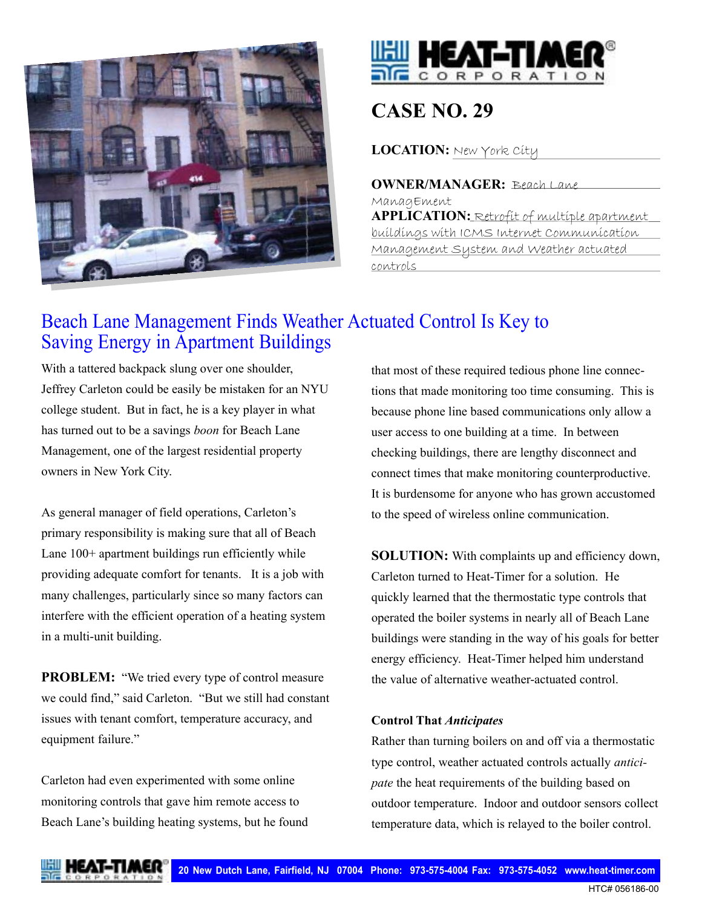



# **CASE NO. 29**

**LOCATION:** New York City

**OWNER/MANAGER:** Beach Lane ManagEment **APPLICATION:** Retrofit of multiple apartment buildings with ICMS Internet Communication Management System and Weather actuated controls

# Beach Lane Management Finds Weather Actuated Control Is Key to Saving Energy in Apartment Buildings

With a tattered backpack slung over one shoulder, Jeffrey Carleton could be easily be mistaken for an NYU college student. But in fact, he is a key player in what has turned out to be a savings *boon* for Beach Lane Management, one of the largest residential property owners in New York City.

As general manager of field operations, Carleton's primary responsibility is making sure that all of Beach Lane 100+ apartment buildings run efficiently while providing adequate comfort for tenants. It is a job with many challenges, particularly since so many factors can interfere with the efficient operation of a heating system in a multi-unit building.

**PROBLEM:** "We tried every type of control measure we could find," said Carleton. "But we still had constant issues with tenant comfort, temperature accuracy, and equipment failure."

Carleton had even experimented with some online monitoring controls that gave him remote access to Beach Lane's building heating systems, but he found that most of these required tedious phone line connections that made monitoring too time consuming. This is because phone line based communications only allow a user access to one building at a time. In between checking buildings, there are lengthy disconnect and connect times that make monitoring counterproductive. It is burdensome for anyone who has grown accustomed to the speed of wireless online communication.

**SOLUTION:** With complaints up and efficiency down, Carleton turned to Heat-Timer for a solution. He quickly learned that the thermostatic type controls that operated the boiler systems in nearly all of Beach Lane buildings were standing in the way of his goals for better energy efficiency. Heat-Timer helped him understand the value of alternative weather-actuated control.

## **Control That** *Anticipates*

Rather than turning boilers on and off via a thermostatic type control, weather actuated controls actually *anticipate* the heat requirements of the building based on outdoor temperature. Indoor and outdoor sensors collect temperature data, which is relayed to the boiler control.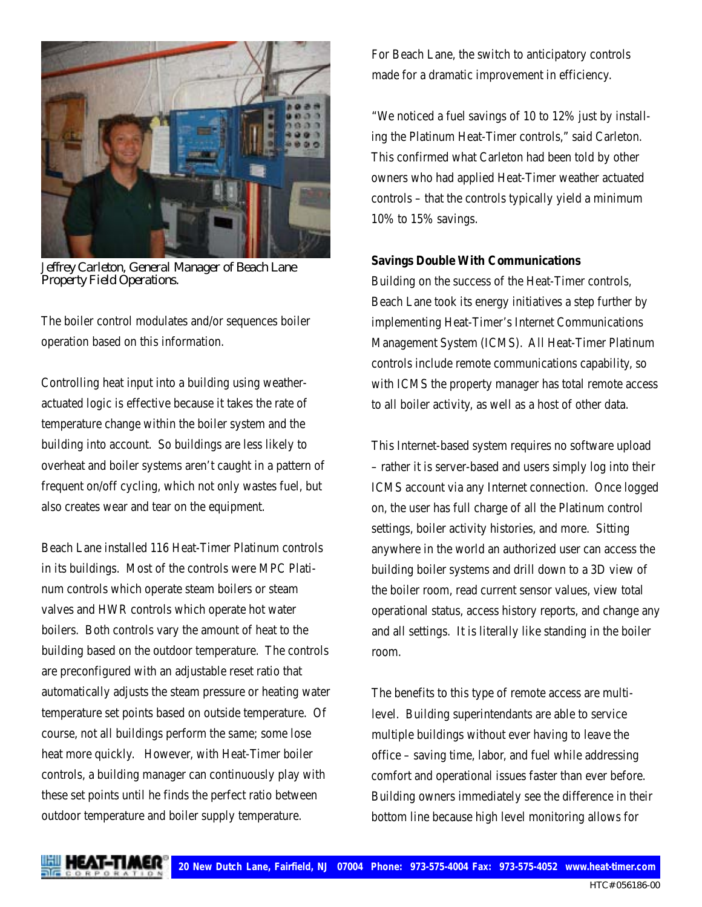

J*effrey Carleton, General Manager of Beach Lane Property Field Operations.*

The boiler control modulates and/or sequences boiler operation based on this information.

Controlling heat input into a building using weatheractuated logic is effective because it takes the rate of temperature change within the boiler system and the building into account. So buildings are less likely to overheat and boiler systems aren't caught in a pattern of frequent on/off cycling, which not only wastes fuel, but also creates wear and tear on the equipment.

Beach Lane installed 116 Heat-Timer Platinum controls in its buildings. Most of the controls were MPC Platinum controls which operate steam boilers or steam valves and HWR controls which operate hot water boilers. Both controls vary the amount of heat to the building based on the outdoor temperature. The controls are preconfigured with an adjustable reset ratio that automatically adjusts the steam pressure or heating water temperature set points based on outside temperature. Of course, not all buildings perform the same; some lose heat more quickly. However, with Heat-Timer boiler controls, a building manager can continuously play with these set points until he finds the perfect ratio between outdoor temperature and boiler supply temperature.

For Beach Lane, the switch to anticipatory controls made for a dramatic improvement in efficiency.

"We noticed a fuel savings of 10 to 12% just by installing the Platinum Heat-Timer controls," said Carleton. This confirmed what Carleton had been told by other owners who had applied Heat-Timer weather actuated controls – that the controls typically yield a minimum 10% to 15% savings.

#### **Savings Double With Communications**

Building on the success of the Heat-Timer controls, Beach Lane took its energy initiatives a step further by implementing Heat-Timer's Internet Communications Management System (ICMS). All Heat-Timer Platinum controls include remote communications capability, so with ICMS the property manager has total remote access to all boiler activity, as well as a host of other data.

This Internet-based system requires no software upload – rather it is server-based and users simply log into their ICMS account via any Internet connection. Once logged on, the user has full charge of all the Platinum control settings, boiler activity histories, and more. Sitting anywhere in the world an authorized user can access the building boiler systems and drill down to a 3D view of the boiler room, read current sensor values, view total operational status, access history reports, and change any and all settings. It is literally like standing in the boiler room.

The benefits to this type of remote access are multilevel. Building superintendants are able to service multiple buildings without ever having to leave the office – saving time, labor, and fuel while addressing comfort and operational issues faster than ever before. Building owners immediately see the difference in their bottom line because high level monitoring allows for



HTC# 056186-00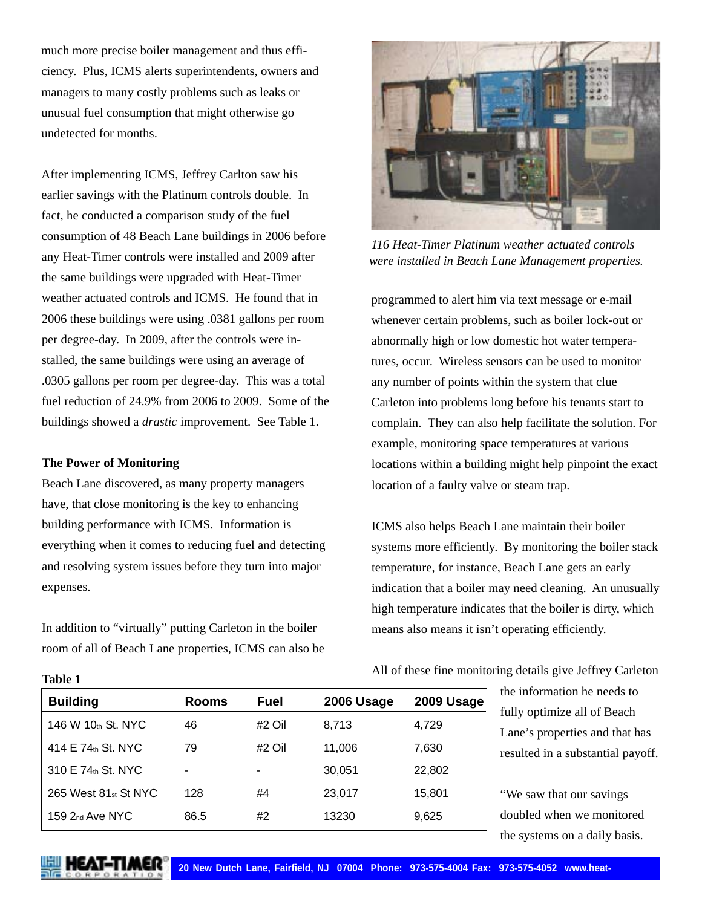much more precise boiler management and thus efficiency. Plus, ICMS alerts superintendents, owners and managers to many costly problems such as leaks or unusual fuel consumption that might otherwise go undetected for months.

After implementing ICMS, Jeffrey Carlton saw his earlier savings with the Platinum controls double. In fact, he conducted a comparison study of the fuel consumption of 48 Beach Lane buildings in 2006 before any Heat-Timer controls were installed and 2009 after the same buildings were upgraded with Heat-Timer weather actuated controls and ICMS. He found that in 2006 these buildings were using .0381 gallons per room per degree-day. In 2009, after the controls were installed, the same buildings were using an average of .0305 gallons per room per degree-day. This was a total fuel reduction of 24.9% from 2006 to 2009. Some of the buildings showed a *drastic* improvement. See Table 1.

#### **The Power of Monitoring**

Beach Lane discovered, as many property managers have, that close monitoring is the key to enhancing building performance with ICMS. Information is everything when it comes to reducing fuel and detecting and resolving system issues before they turn into major expenses.

In addition to "virtually" putting Carleton in the boiler room of all of Beach Lane properties, ICMS can also be



*116 Heat-Timer Platinum weather actuated controls were installed in Beach Lane Management properties.*

programmed to alert him via text message or e-mail whenever certain problems, such as boiler lock-out or abnormally high or low domestic hot water temperatures, occur. Wireless sensors can be used to monitor any number of points within the system that clue Carleton into problems long before his tenants start to complain. They can also help facilitate the solution. For example, monitoring space temperatures at various locations within a building might help pinpoint the exact location of a faulty valve or steam trap.

ICMS also helps Beach Lane maintain their boiler systems more efficiently. By monitoring the boiler stack temperature, for instance, Beach Lane gets an early indication that a boiler may need cleaning. An unusually high temperature indicates that the boiler is dirty, which means also means it isn't operating efficiently.

| <b>Building</b>                  | <b>Rooms</b> | Fuel   | 2006 Usage | 2009 Usage |
|----------------------------------|--------------|--------|------------|------------|
| 146 W 10th St. NYC               | 46           | #2 Oil | 8.713      | 4,729      |
| 414 E 74th St. NYC               | 79           | #2 Oil | 11,006     | 7,630      |
| 310 E 74th St. NYC               | -            | ۰      | 30,051     | 22,802     |
| 265 West 81 <sub>st</sub> St NYC | 128          | #4     | 23,017     | 15,801     |
| 159 $2_{nd}$ Ave NYC             | 86.5         | #2     | 13230      | 9,625      |

All of these fine monitoring details give Jeffrey Carleton

the information he needs to fully optimize all of Beach Lane's properties and that has resulted in a substantial payoff.

"We saw that our savings doubled when we monitored the systems on a daily basis.